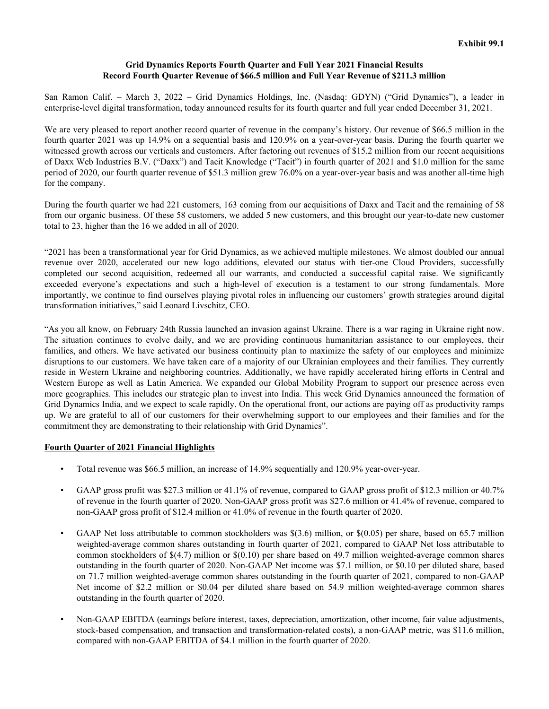#### **Grid Dynamics Reports Fourth Quarter and Full Year 2021 Financial Results Record Fourth Quarter Revenue of \$66.5 million and Full Year Revenue of \$211.3 million**

San Ramon Calif. – March 3, 2022 – Grid Dynamics Holdings, Inc. (Nasdaq: GDYN) ("Grid Dynamics"), a leader in enterprise-level digital transformation, today announced results for its fourth quarter and full year ended December 31, 2021.

We are very pleased to report another record quarter of revenue in the company's history. Our revenue of \$66.5 million in the fourth quarter 2021 was up 14.9% on a sequential basis and 120.9% on a year-over-year basis. During the fourth quarter we witnessed growth across our verticals and customers. After factoring out revenues of \$15.2 million from our recent acquisitions of Daxx Web Industries B.V. ("Daxx") and Tacit Knowledge ("Tacit") in fourth quarter of 2021 and \$1.0 million for the same period of 2020, our fourth quarter revenue of \$51.3 million grew 76.0% on a year-over-year basis and was another all-time high for the company.

During the fourth quarter we had 221 customers, 163 coming from our acquisitions of Daxx and Tacit and the remaining of 58 from our organic business. Of these 58 customers, we added 5 new customers, and this brought our year-to-date new customer total to 23, higher than the 16 we added in all of 2020.

"2021 has been a transformational year for Grid Dynamics, as we achieved multiple milestones. We almost doubled our annual revenue over 2020, accelerated our new logo additions, elevated our status with tier-one Cloud Providers, successfully completed our second acquisition, redeemed all our warrants, and conducted a successful capital raise. We significantly exceeded everyone's expectations and such a high-level of execution is a testament to our strong fundamentals. More importantly, we continue to find ourselves playing pivotal roles in influencing our customers' growth strategies around digital transformation initiatives," said Leonard Livschitz, CEO.

"As you all know, on February 24th Russia launched an invasion against Ukraine. There is a war raging in Ukraine right now. The situation continues to evolve daily, and we are providing continuous humanitarian assistance to our employees, their families, and others. We have activated our business continuity plan to maximize the safety of our employees and minimize disruptions to our customers. We have taken care of a majority of our Ukrainian employees and their families. They currently reside in Western Ukraine and neighboring countries. Additionally, we have rapidly accelerated hiring efforts in Central and Western Europe as well as Latin America. We expanded our Global Mobility Program to support our presence across even more geographies. This includes our strategic plan to invest into India. This week Grid Dynamics announced the formation of Grid Dynamics India, and we expect to scale rapidly. On the operational front, our actions are paying off as productivity ramps up. We are grateful to all of our customers for their overwhelming support to our employees and their families and for the commitment they are demonstrating to their relationship with Grid Dynamics".

### **Fourth Quarter of 2021 Financial Highlights**

- Total revenue was \$66.5 million, an increase of 14.9% sequentially and 120.9% year-over-year.
- GAAP gross profit was \$27.3 million or 41.1% of revenue, compared to GAAP gross profit of \$12.3 million or 40.7% of revenue in the fourth quarter of 2020. Non-GAAP gross profit was \$27.6 million or 41.4% of revenue, compared to non-GAAP gross profit of \$12.4 million or 41.0% of revenue in the fourth quarter of 2020.
- GAAP Net loss attributable to common stockholders was \$(3.6) million, or \$(0.05) per share, based on 65.7 million weighted-average common shares outstanding in fourth quarter of 2021, compared to GAAP Net loss attributable to common stockholders of \$(4.7) million or \$(0.10) per share based on 49.7 million weighted-average common shares outstanding in the fourth quarter of 2020. Non-GAAP Net income was \$7.1 million, or \$0.10 per diluted share, based on 71.7 million weighted-average common shares outstanding in the fourth quarter of 2021, compared to non-GAAP Net income of \$2.2 million or \$0.04 per diluted share based on 54.9 million weighted-average common shares outstanding in the fourth quarter of 2020.
- Non-GAAP EBITDA (earnings before interest, taxes, depreciation, amortization, other income, fair value adjustments, stock-based compensation, and transaction and transformation-related costs), a non-GAAP metric, was \$11.6 million, compared with non-GAAP EBITDA of \$4.1 million in the fourth quarter of 2020.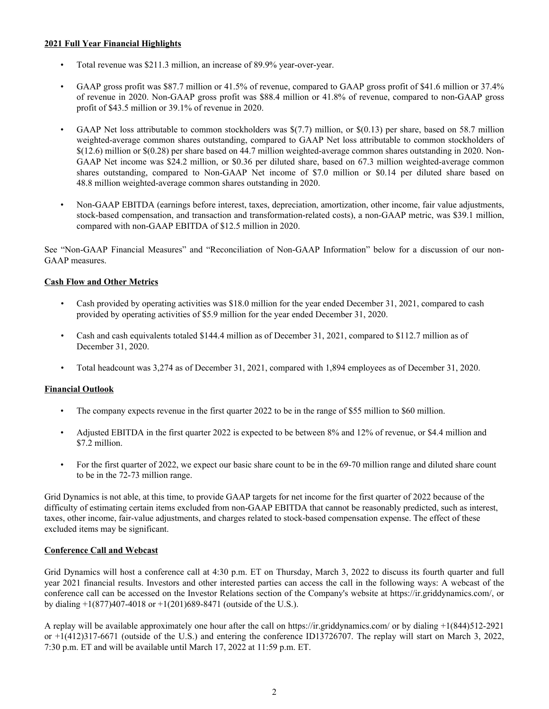### **2021 Full Year Financial Highlights**

- Total revenue was \$211.3 million, an increase of 89.9% year-over-year.
- GAAP gross profit was \$87.7 million or 41.5% of revenue, compared to GAAP gross profit of \$41.6 million or 37.4% of revenue in 2020. Non-GAAP gross profit was \$88.4 million or 41.8% of revenue, compared to non-GAAP gross profit of \$43.5 million or 39.1% of revenue in 2020.
- GAAP Net loss attributable to common stockholders was  $\frac{f(7.7)}{f(7.7)}$  million, or  $\frac{f(0.13)}{f(0.13)}$  per share, based on 58.7 million weighted-average common shares outstanding, compared to GAAP Net loss attributable to common stockholders of \$(12.6) million or \$(0.28) per share based on 44.7 million weighted-average common shares outstanding in 2020. Non-GAAP Net income was \$24.2 million, or \$0.36 per diluted share, based on 67.3 million weighted-average common shares outstanding, compared to Non-GAAP Net income of \$7.0 million or \$0.14 per diluted share based on 48.8 million weighted-average common shares outstanding in 2020.
- Non-GAAP EBITDA (earnings before interest, taxes, depreciation, amortization, other income, fair value adjustments, stock-based compensation, and transaction and transformation-related costs), a non-GAAP metric, was \$39.1 million, compared with non-GAAP EBITDA of \$12.5 million in 2020.

See "Non-GAAP Financial Measures" and "Reconciliation of Non-GAAP Information" below for a discussion of our non-GAAP measures.

### **Cash Flow and Other Metrics**

- *•* Cash provided by operating activities was \$18.0 million for the year ended December 31, 2021, compared to cash provided by operating activities of \$5.9 million for the year ended December 31, 2020.
- *•* Cash and cash equivalents totaled \$144.4 million as of December 31, 2021, compared to \$112.7 million as of December 31, 2020.
- *•* Total headcount was 3,274 as of December 31, 2021, compared with 1,894 employees as of December 31, 2020.

# **Financial Outlook**

- The company expects revenue in the first quarter 2022 to be in the range of \$55 million to \$60 million.
- Adjusted EBITDA in the first quarter 2022 is expected to be between 8% and 12% of revenue, or \$4.4 million and \$7.2 million.
- For the first quarter of 2022, we expect our basic share count to be in the 69-70 million range and diluted share count to be in the 72-73 million range.

Grid Dynamics is not able, at this time, to provide GAAP targets for net income for the first quarter of 2022 because of the difficulty of estimating certain items excluded from non-GAAP EBITDA that cannot be reasonably predicted, such as interest, taxes, other income, fair-value adjustments, and charges related to stock-based compensation expense. The effect of these excluded items may be significant.

### **Conference Call and Webcast**

Grid Dynamics will host a conference call at 4:30 p.m. ET on Thursday, March 3, 2022 to discuss its fourth quarter and full year 2021 financial results. Investors and other interested parties can access the call in the following ways: A webcast of the conference call can be accessed on the Investor Relations section of the Company's website at https://ir.griddynamics.com/, or by dialing  $+1(877)407-4018$  or  $+1(201)689-8471$  (outside of the U.S.).

A replay will be available approximately one hour after the call on https://ir.griddynamics.com/ or by dialing +1(844)512-2921 or +1(412)317-6671 (outside of the U.S.) and entering the conference ID13726707. The replay will start on March 3, 2022, 7:30 p.m. ET and will be available until March 17, 2022 at 11:59 p.m. ET.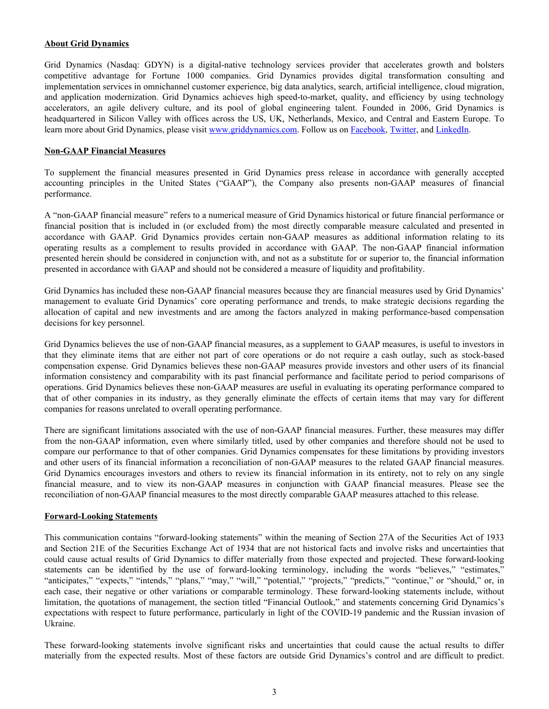#### **About Grid Dynamics**

Grid Dynamics (Nasdaq: GDYN) is a digital-native technology services provider that accelerates growth and bolsters competitive advantage for Fortune 1000 companies. Grid Dynamics provides digital transformation consulting and implementation services in omnichannel customer experience, big data analytics, search, artificial intelligence, cloud migration, and application modernization. Grid Dynamics achieves high speed-to-market, quality, and efficiency by using technology accelerators, an agile delivery culture, and its pool of global engineering talent. Founded in 2006, Grid Dynamics is headquartered in Silicon Valley with offices across the US, UK, Netherlands, Mexico, and Central and Eastern Europe. To learn more about Grid Dynamics, please visit [www.griddynamics.com](https://www.griddynamics.com/). Follow us on [Facebook,](https://www.facebook.com/griddynamics) [Twitter](https://twitter.com/griddynamics), and [LinkedIn.](https://www.linkedin.com/company/grid-dynamics/)

#### **Non-GAAP Financial Measures**

To supplement the financial measures presented in Grid Dynamics press release in accordance with generally accepted accounting principles in the United States ("GAAP"), the Company also presents non-GAAP measures of financial performance.

A "non-GAAP financial measure" refers to a numerical measure of Grid Dynamics historical or future financial performance or financial position that is included in (or excluded from) the most directly comparable measure calculated and presented in accordance with GAAP. Grid Dynamics provides certain non-GAAP measures as additional information relating to its operating results as a complement to results provided in accordance with GAAP. The non-GAAP financial information presented herein should be considered in conjunction with, and not as a substitute for or superior to, the financial information presented in accordance with GAAP and should not be considered a measure of liquidity and profitability.

Grid Dynamics has included these non-GAAP financial measures because they are financial measures used by Grid Dynamics' management to evaluate Grid Dynamics' core operating performance and trends, to make strategic decisions regarding the allocation of capital and new investments and are among the factors analyzed in making performance-based compensation decisions for key personnel.

Grid Dynamics believes the use of non-GAAP financial measures, as a supplement to GAAP measures, is useful to investors in that they eliminate items that are either not part of core operations or do not require a cash outlay, such as stock-based compensation expense. Grid Dynamics believes these non-GAAP measures provide investors and other users of its financial information consistency and comparability with its past financial performance and facilitate period to period comparisons of operations. Grid Dynamics believes these non-GAAP measures are useful in evaluating its operating performance compared to that of other companies in its industry, as they generally eliminate the effects of certain items that may vary for different companies for reasons unrelated to overall operating performance.

There are significant limitations associated with the use of non-GAAP financial measures. Further, these measures may differ from the non-GAAP information, even where similarly titled, used by other companies and therefore should not be used to compare our performance to that of other companies. Grid Dynamics compensates for these limitations by providing investors and other users of its financial information a reconciliation of non-GAAP measures to the related GAAP financial measures. Grid Dynamics encourages investors and others to review its financial information in its entirety, not to rely on any single financial measure, and to view its non-GAAP measures in conjunction with GAAP financial measures. Please see the reconciliation of non-GAAP financial measures to the most directly comparable GAAP measures attached to this release.

### **Forward-Looking Statements**

This communication contains "forward-looking statements" within the meaning of Section 27A of the Securities Act of 1933 and Section 21E of the Securities Exchange Act of 1934 that are not historical facts and involve risks and uncertainties that could cause actual results of Grid Dynamics to differ materially from those expected and projected. These forward-looking statements can be identified by the use of forward-looking terminology, including the words "believes," "estimates," "anticipates," "expects," "intends," "plans," "may," "will," "potential," "projects," "predicts," "continue," or "should," or, in each case, their negative or other variations or comparable terminology. These forward-looking statements include, without limitation, the quotations of management, the section titled "Financial Outlook," and statements concerning Grid Dynamics's expectations with respect to future performance, particularly in light of the COVID-19 pandemic and the Russian invasion of Ukraine.

These forward-looking statements involve significant risks and uncertainties that could cause the actual results to differ materially from the expected results. Most of these factors are outside Grid Dynamics's control and are difficult to predict.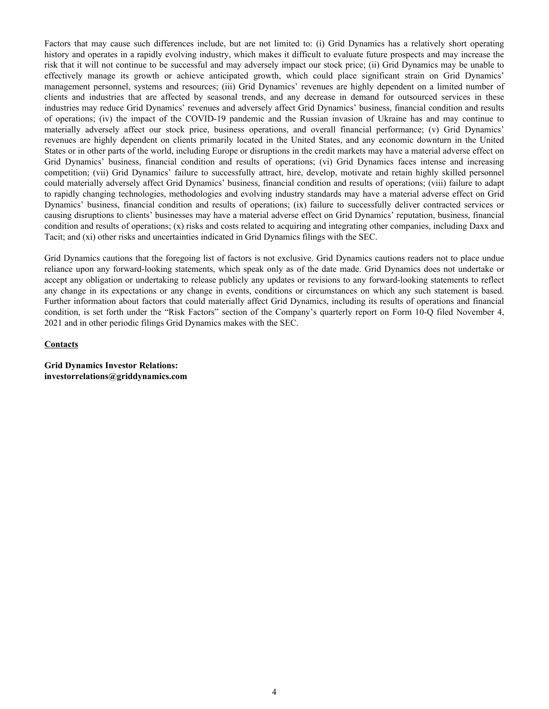Factors that may cause such differences include, but are not limited to: (i) Grid Dynamics has a relatively short operating history and operates in a rapidly evolving industry, which makes it difficult to evaluate future prospects and may increase the risk that it will not continue to be successful and may adversely impact our stock price; (ii) Grid Dynamics may be unable to effectively manage its growth or achieve anticipated growth, which could place significant strain on Grid Dynamics' management personnel, systems and resources; (iii) Grid Dynamics' revenues are highly dependent on a limited number of clients and industries that are affected by seasonal trends, and any decrease in demand for outsourced services in these industries may reduce Grid Dynamics' revenues and adversely affect Grid Dynamics' business, financial condition and results of operations; (iv) the impact of the COVID-19 pandemic and the Russian invasion of Ukraine has and may continue to materially adversely affect our stock price, business operations, and overall financial performance; (v) Grid Dynamics' revenues are highly dependent on clients primarily located in the United States, and any economic downturn in the United States or in other parts of the world, including Europe or disruptions in the credit markets may have a material adverse effect on Grid Dynamics' business, financial condition and results of operations; (vi) Grid Dynamics faces intense and increasing competition; (vii) Grid Dynamics' failure to successfully attract, hire, develop, motivate and retain highly skilled personnel could materially adversely affect Grid Dynamics' business, financial condition and results of operations; (viii) failure to adapt to rapidly changing technologies, methodologies and evolving industry standards may have a material adverse effect on Grid Dynamics' business, financial condition and results of operations; (ix) failure to successfully deliver contracted services or causing disruptions to clients' businesses may have a material adverse effect on Grid Dynamics' reputation, business, financial condition and results of operations; (x) risks and costs related to acquiring and integrating other companies, including Daxx and Tacit; and (xi) other risks and uncertainties indicated in Grid Dynamics filings with the SEC.

Grid Dynamics cautions that the foregoing list of factors is not exclusive. Grid Dynamics cautions readers not to place undue reliance upon any forward-looking statements, which speak only as of the date made. Grid Dynamics does not undertake or accept any obligation or undertaking to release publicly any updates or revisions to any forward-looking statements to reflect any change in its expectations or any change in events, conditions or circumstances on which any such statement is based. Further information about factors that could materially affect Grid Dynamics, including its results of operations and financial condition, is set forth under the "Risk Factors" section of the Company's quarterly report on Form 10-Q filed November 4, 2021 and in other periodic filings Grid Dynamics makes with the SEC.

#### **Contacts**

**Grid Dynamics Investor Relations: investorrelations@griddynamics.com**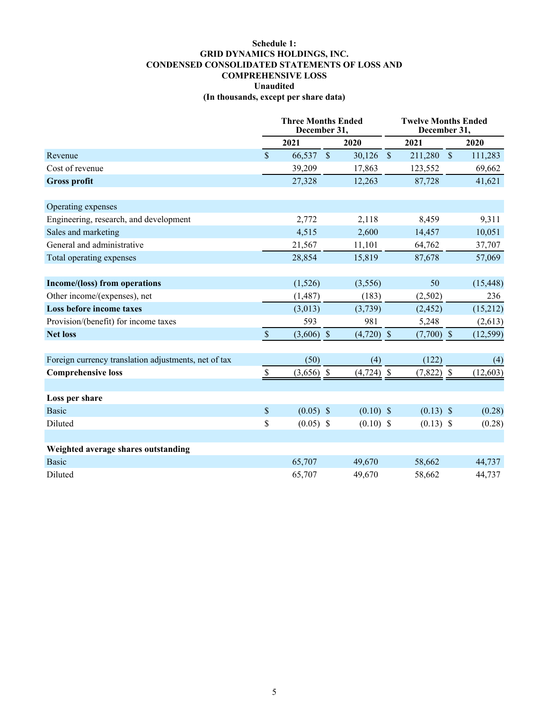## **Schedule 1: GRID DYNAMICS HOLDINGS, INC. CONDENSED CONSOLIDATED STATEMENTS OF LOSS AND COMPREHENSIVE LOSS Unaudited (In thousands, except per share data)**

|                                                      | <b>Three Months Ended</b><br>December 31, |              |                    | <b>Twelve Months Ended</b><br>December 31, |  |              |  |           |
|------------------------------------------------------|-------------------------------------------|--------------|--------------------|--------------------------------------------|--|--------------|--|-----------|
|                                                      |                                           | 2021         |                    | 2020                                       |  | 2021         |  | 2020      |
| Revenue                                              | $\mathbf{\hat{S}}$                        | 66,537       | $\mathbf{\hat{s}}$ | $30,126$ \$                                |  | 211,280 \$   |  | 111,283   |
| Cost of revenue                                      |                                           | 39,209       |                    | 17,863                                     |  | 123,552      |  | 69,662    |
| <b>Gross profit</b>                                  |                                           | 27,328       |                    | 12,263                                     |  | 87,728       |  | 41,621    |
|                                                      |                                           |              |                    |                                            |  |              |  |           |
| Operating expenses                                   |                                           |              |                    |                                            |  |              |  |           |
| Engineering, research, and development               |                                           | 2,772        |                    | 2,118                                      |  | 8,459        |  | 9,311     |
| Sales and marketing                                  |                                           | 4,515        |                    | 2,600                                      |  | 14,457       |  | 10,051    |
| General and administrative                           |                                           | 21,567       |                    | 11,101                                     |  | 64,762       |  | 37,707    |
| Total operating expenses                             |                                           | 28,854       |                    | 15,819                                     |  | 87,678       |  | 57,069    |
| Income/(loss) from operations                        |                                           | (1,526)      |                    | (3,556)                                    |  | 50           |  | (15, 448) |
| Other income/(expenses), net                         |                                           | (1, 487)     |                    | (183)                                      |  | (2,502)      |  | 236       |
| Loss before income taxes                             |                                           | (3,013)      |                    | (3,739)                                    |  | (2, 452)     |  | (15,212)  |
| Provision/(benefit) for income taxes                 |                                           | 593          |                    | 981                                        |  | 5,248        |  | (2,613)   |
| <b>Net loss</b>                                      | $\mathbb S$                               | $(3,606)$ \$ |                    | $(4,720)$ \$                               |  | $(7,700)$ \$ |  | (12, 599) |
|                                                      |                                           |              |                    |                                            |  |              |  |           |
| Foreign currency translation adjustments, net of tax |                                           | (50)         |                    | (4)                                        |  | (122)        |  | (4)       |
| <b>Comprehensive loss</b>                            | $\mathbb{S}$                              | $(3,656)$ \$ |                    | $(4,724)$ \$                               |  | $(7,822)$ \$ |  | (12, 603) |
| Loss per share                                       |                                           |              |                    |                                            |  |              |  |           |
| <b>Basic</b>                                         | $\mathsf{\$}$                             | $(0.05)$ \$  |                    | $(0.10)$ \$                                |  | $(0.13)$ \$  |  | (0.28)    |
| Diluted                                              | \$                                        | $(0.05)$ \$  |                    | $(0.10)$ \$                                |  | $(0.13)$ \$  |  | (0.28)    |
|                                                      |                                           |              |                    |                                            |  |              |  |           |
| Weighted average shares outstanding                  |                                           |              |                    |                                            |  |              |  |           |
| <b>Basic</b>                                         |                                           | 65,707       |                    | 49,670                                     |  | 58,662       |  | 44,737    |
| Diluted                                              |                                           | 65,707       |                    | 49,670                                     |  | 58,662       |  | 44,737    |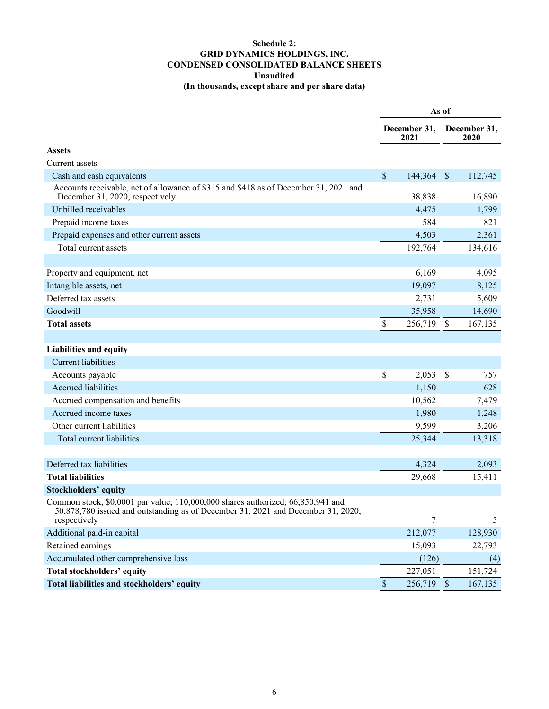# **Schedule 2: GRID DYNAMICS HOLDINGS, INC. CONDENSED CONSOLIDATED BALANCE SHEETS Unaudited (In thousands, except share and per share data)**

|                                                                                                                                                                                     |                           |                      | As of         |                      |
|-------------------------------------------------------------------------------------------------------------------------------------------------------------------------------------|---------------------------|----------------------|---------------|----------------------|
|                                                                                                                                                                                     |                           | December 31,<br>2021 |               | December 31,<br>2020 |
| <b>Assets</b>                                                                                                                                                                       |                           |                      |               |                      |
| Current assets                                                                                                                                                                      |                           |                      |               |                      |
| Cash and cash equivalents                                                                                                                                                           | $\boldsymbol{\mathsf{S}}$ | 144,364              | $\mathcal{S}$ | 112,745              |
| Accounts receivable, net of allowance of \$315 and \$418 as of December 31, 2021 and<br>December 31, 2020, respectively                                                             |                           | 38,838               |               | 16,890               |
| Unbilled receivables                                                                                                                                                                |                           | 4,475                |               | 1,799                |
| Prepaid income taxes                                                                                                                                                                |                           | 584                  |               | 821                  |
| Prepaid expenses and other current assets                                                                                                                                           |                           | 4,503                |               | 2,361                |
| Total current assets                                                                                                                                                                |                           | 192,764              |               | 134,616              |
|                                                                                                                                                                                     |                           |                      |               |                      |
| Property and equipment, net                                                                                                                                                         |                           | 6,169                |               | 4,095                |
| Intangible assets, net                                                                                                                                                              |                           | 19,097               |               | 8,125                |
| Deferred tax assets                                                                                                                                                                 |                           | 2,731                |               | 5,609                |
| Goodwill                                                                                                                                                                            |                           | 35,958               |               | 14,690               |
| <b>Total assets</b>                                                                                                                                                                 | \$                        | 256,719              | <sup>\$</sup> | 167,135              |
|                                                                                                                                                                                     |                           |                      |               |                      |
| <b>Liabilities and equity</b>                                                                                                                                                       |                           |                      |               |                      |
| <b>Current liabilities</b>                                                                                                                                                          |                           |                      |               |                      |
| Accounts payable                                                                                                                                                                    | \$                        | 2,053                | $\mathcal{S}$ | 757                  |
| <b>Accrued liabilities</b>                                                                                                                                                          |                           | 1,150                |               | 628                  |
| Accrued compensation and benefits                                                                                                                                                   |                           | 10,562               |               | 7,479                |
| Accrued income taxes                                                                                                                                                                |                           | 1,980                |               | 1,248                |
| Other current liabilities                                                                                                                                                           |                           | 9,599                |               | 3,206                |
| Total current liabilities                                                                                                                                                           |                           | 25,344               |               | 13,318               |
|                                                                                                                                                                                     |                           |                      |               |                      |
| Deferred tax liabilities                                                                                                                                                            |                           | 4,324                |               | 2,093                |
| <b>Total liabilities</b>                                                                                                                                                            |                           | 29,668               |               | 15,411               |
| <b>Stockholders' equity</b>                                                                                                                                                         |                           |                      |               |                      |
| Common stock, \$0.0001 par value; 110,000,000 shares authorized; 66,850,941 and<br>50,878,780 issued and outstanding as of December 31, 2021 and December 31, 2020,<br>respectively |                           | $\overline{7}$       |               | 5                    |
| Additional paid-in capital                                                                                                                                                          |                           | 212,077              |               | 128,930              |
| Retained earnings                                                                                                                                                                   |                           | 15,093               |               | 22,793               |
| Accumulated other comprehensive loss                                                                                                                                                |                           | (126)                |               | (4)                  |
| <b>Total stockholders' equity</b>                                                                                                                                                   |                           | 227,051              |               | 151,724              |
| Total liabilities and stockholders' equity                                                                                                                                          | $\mathsf{\$}$             | 256,719 \$           |               | 167,135              |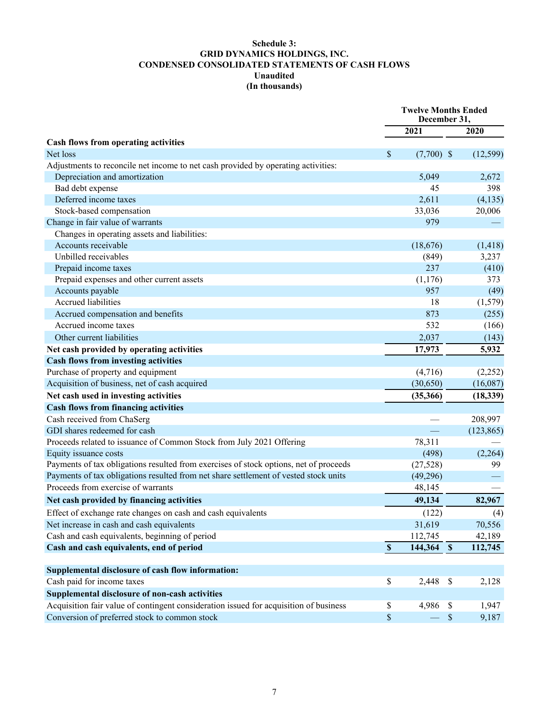# **Schedule 3: GRID DYNAMICS HOLDINGS, INC. CONDENSED CONSOLIDATED STATEMENTS OF CASH FLOWS Unaudited (In thousands)**

|                                                                                       |              | <b>Twelve Months Ended</b><br>December 31, |            |
|---------------------------------------------------------------------------------------|--------------|--------------------------------------------|------------|
|                                                                                       |              | 2021                                       | 2020       |
| Cash flows from operating activities                                                  |              |                                            |            |
| Net loss                                                                              | \$           | $(7,700)$ \$                               | (12, 599)  |
| Adjustments to reconcile net income to net cash provided by operating activities:     |              |                                            |            |
| Depreciation and amortization                                                         |              | 5,049                                      | 2,672      |
| Bad debt expense                                                                      |              | 45                                         | 398        |
| Deferred income taxes                                                                 |              | 2,611                                      | (4, 135)   |
| Stock-based compensation                                                              |              | 33,036                                     | 20,006     |
| Change in fair value of warrants                                                      |              | 979                                        |            |
| Changes in operating assets and liabilities:                                          |              |                                            |            |
| Accounts receivable                                                                   |              | (18,676)                                   | (1, 418)   |
| Unbilled receivables                                                                  |              | (849)                                      | 3,237      |
| Prepaid income taxes                                                                  |              | 237                                        | (410)      |
| Prepaid expenses and other current assets                                             |              | (1,176)                                    | 373        |
| Accounts payable                                                                      |              | 957                                        | (49)       |
| <b>Accrued liabilities</b>                                                            |              | 18                                         | (1,579)    |
| Accrued compensation and benefits                                                     |              | 873                                        | (255)      |
| Accrued income taxes                                                                  |              | 532                                        | (166)      |
| Other current liabilities                                                             |              | 2,037                                      | (143)      |
| Net cash provided by operating activities                                             |              | 17,973                                     | 5,932      |
| <b>Cash flows from investing activities</b>                                           |              |                                            |            |
| Purchase of property and equipment                                                    |              | (4,716)                                    | (2,252)    |
| Acquisition of business, net of cash acquired                                         |              | (30,650)                                   | (16,087)   |
| Net cash used in investing activities                                                 |              | (35,366)                                   | (18, 339)  |
| <b>Cash flows from financing activities</b>                                           |              |                                            |            |
| Cash received from ChaSerg                                                            |              |                                            | 208,997    |
| GDI shares redeemed for cash                                                          |              |                                            | (123, 865) |
| Proceeds related to issuance of Common Stock from July 2021 Offering                  |              | 78,311                                     |            |
| Equity issuance costs                                                                 |              | (498)                                      | (2,264)    |
| Payments of tax obligations resulted from exercises of stock options, net of proceeds |              | (27, 528)                                  | 99         |
| Payments of tax obligations resulted from net share settlement of vested stock units  |              | (49,296)                                   |            |
| Proceeds from exercise of warrants                                                    |              | 48,145                                     |            |
| Net cash provided by financing activities                                             |              | 49,134                                     | 82,967     |
| Effect of exchange rate changes on cash and cash equivalents                          |              | (122)                                      | (4)        |
| Net increase in cash and cash equivalents                                             |              | 31,619                                     | 70,556     |
| Cash and cash equivalents, beginning of period                                        |              | 112,745                                    | 42,189     |
| Cash and cash equivalents, end of period                                              | $\mathbb S$  | 144,364 \$                                 | 112,745    |
|                                                                                       |              |                                            |            |
| Supplemental disclosure of cash flow information:                                     |              |                                            |            |
| Cash paid for income taxes                                                            | $\mathbb{S}$ | 2,448<br>$\mathcal{S}$                     | 2,128      |
| Supplemental disclosure of non-cash activities                                        |              |                                            |            |
| Acquisition fair value of contingent consideration issued for acquisition of business | $\mathbb S$  | 4,986 \$                                   | 1,947      |
| Conversion of preferred stock to common stock                                         | $\$$         | $\$$                                       | 9,187      |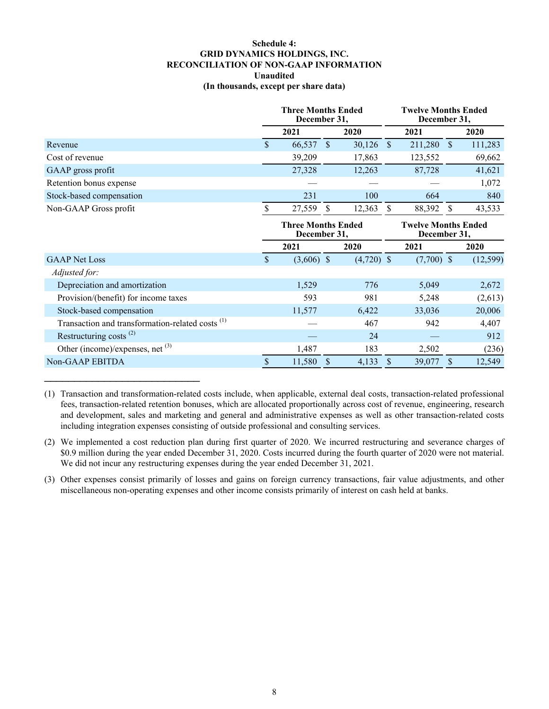### **Schedule 4: GRID DYNAMICS HOLDINGS, INC. RECONCILIATION OF NON-GAAP INFORMATION Unaudited (In thousands, except per share data)**

|                                                             | <b>Three Months Ended</b><br>December 31, |              |               | <b>Twelve Months Ended</b><br>December 31, |                                            |              |              |           |
|-------------------------------------------------------------|-------------------------------------------|--------------|---------------|--------------------------------------------|--------------------------------------------|--------------|--------------|-----------|
|                                                             |                                           | 2021         |               | 2020                                       |                                            | 2021         |              | 2020      |
| Revenue                                                     | \$                                        | 66,537       | $\mathcal{S}$ | 30,126                                     | $\mathcal{S}$                              | 211,280      | $\mathbb{S}$ | 111,283   |
| Cost of revenue                                             |                                           | 39,209       |               | 17,863                                     |                                            | 123,552      |              | 69,662    |
| GAAP gross profit                                           |                                           | 27,328       |               | 12,263                                     |                                            | 87,728       |              | 41,621    |
| Retention bonus expense                                     |                                           |              |               |                                            |                                            |              |              | 1,072     |
| Stock-based compensation                                    |                                           | 231          |               | 100                                        |                                            | 664          |              | 840       |
| Non-GAAP Gross profit                                       | \$                                        | 27,559       | <sup>S</sup>  | 12,363                                     | <sup>\$</sup>                              | 88,392       | <sup>S</sup> | 43,533    |
|                                                             | <b>Three Months Ended</b><br>December 31, |              |               |                                            | <b>Twelve Months Ended</b><br>December 31, |              |              |           |
|                                                             |                                           |              |               |                                            |                                            |              |              |           |
|                                                             |                                           | 2021         |               | 2020                                       |                                            | 2021         |              | 2020      |
| <b>GAAP</b> Net Loss                                        | \$                                        | $(3,606)$ \$ |               | $(4,720)$ \$                               |                                            | $(7,700)$ \$ |              | (12, 599) |
| Adjusted for:                                               |                                           |              |               |                                            |                                            |              |              |           |
| Depreciation and amortization                               |                                           | 1,529        |               | 776                                        |                                            | 5,049        |              | 2,672     |
| Provision/(benefit) for income taxes                        |                                           | 593          |               | 981                                        |                                            | 5,248        |              | (2,613)   |
| Stock-based compensation                                    |                                           | 11,577       |               | 6,422                                      |                                            | 33,036       |              | 20,006    |
| Transaction and transformation-related costs <sup>(1)</sup> |                                           |              |               | 467                                        |                                            | 942          |              | 4,407     |
| Restructuring costs $(2)$                                   |                                           |              |               | 24                                         |                                            |              |              | 912       |
| Other (income)/expenses, net $(3)$                          |                                           | 1,487        |               | 183                                        |                                            | 2,502        |              | (236)     |

(1) Transaction and transformation-related costs include, when applicable, external deal costs, transaction-related professional fees, transaction-related retention bonuses, which are allocated proportionally across cost of revenue, engineering, research and development, sales and marketing and general and administrative expenses as well as other transaction-related costs including integration expenses consisting of outside professional and consulting services.

 $\mathcal{L}_\text{max}$  , where  $\mathcal{L}_\text{max}$  , we have the set of the set of the set of the set of the set of the set of the set of the set of the set of the set of the set of the set of the set of the set of the set of the set of

(2) We implemented a cost reduction plan during first quarter of 2020. We incurred restructuring and severance charges of \$0.9 million during the year ended December 31, 2020. Costs incurred during the fourth quarter of 2020 were not material. We did not incur any restructuring expenses during the year ended December 31, 2021.

(3) Other expenses consist primarily of losses and gains on foreign currency transactions, fair value adjustments, and other miscellaneous non-operating expenses and other income consists primarily of interest on cash held at banks.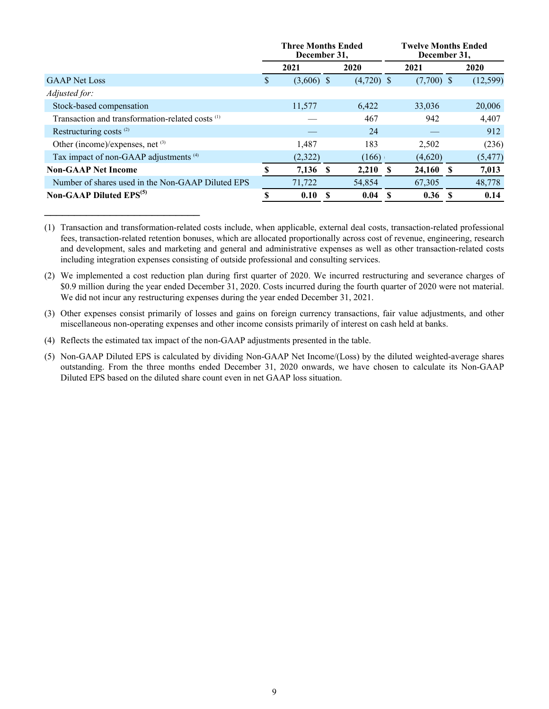|                                                             | <b>Three Months Ended</b><br>December 31, |              |   | <b>Twelve Months Ended</b><br>December 31, |          |              |          |           |
|-------------------------------------------------------------|-------------------------------------------|--------------|---|--------------------------------------------|----------|--------------|----------|-----------|
|                                                             |                                           | 2021         |   | 2020                                       |          | 2021         |          | 2020      |
| <b>GAAP</b> Net Loss                                        | S                                         | $(3,606)$ \$ |   | $(4,720)$ \$                               |          | $(7,700)$ \$ |          | (12, 599) |
| <i>Adjusted for:</i>                                        |                                           |              |   |                                            |          |              |          |           |
| Stock-based compensation                                    |                                           | 11,577       |   | 6,422                                      |          | 33,036       |          | 20,006    |
| Transaction and transformation-related costs <sup>(1)</sup> |                                           |              |   | 467                                        |          | 942          |          | 4,407     |
| Restructuring costs <sup>(2)</sup>                          |                                           |              |   | 24                                         |          |              |          | 912       |
| Other (income)/expenses, net (3)                            |                                           | 1.487        |   | 183                                        |          | 2,502        |          | (236)     |
| Tax impact of non-GAAP adjustments <sup>(4)</sup>           |                                           | (2,322)      |   | (166)                                      |          | (4,620)      |          | (5, 477)  |
| <b>Non-GAAP Net Income</b>                                  | S                                         | 7,136 \$     |   | 2,210                                      | -S       | 24,160       | <b>S</b> | 7,013     |
| Number of shares used in the Non-GAAP Diluted EPS           |                                           | 71,722       |   | 54,854                                     |          | 67,305       |          | 48,778    |
| <b>Non-GAAP Diluted EPS</b> <sup>(5)</sup>                  | S                                         | 0.10         | S | 0.04                                       | <b>S</b> | 0.36         | -8       | 0.14      |

(1) Transaction and transformation-related costs include, when applicable, external deal costs, transaction-related professional fees, transaction-related retention bonuses, which are allocated proportionally across cost of revenue, engineering, research and development, sales and marketing and general and administrative expenses as well as other transaction-related costs including integration expenses consisting of outside professional and consulting services.

(2) We implemented a cost reduction plan during first quarter of 2020. We incurred restructuring and severance charges of \$0.9 million during the year ended December 31, 2020. Costs incurred during the fourth quarter of 2020 were not material. We did not incur any restructuring expenses during the year ended December 31, 2021.

(3) Other expenses consist primarily of losses and gains on foreign currency transactions, fair value adjustments, and other miscellaneous non-operating expenses and other income consists primarily of interest on cash held at banks.

(4) Reflects the estimated tax impact of the non-GAAP adjustments presented in the table.

 $\mathcal{L}_\text{max}$  , where  $\mathcal{L}_\text{max}$  , we have the set of the set of the set of the set of the set of the set of the set of the set of the set of the set of the set of the set of the set of the set of the set of the set of

(5) Non-GAAP Diluted EPS is calculated by dividing Non-GAAP Net Income/(Loss) by the diluted weighted-average shares outstanding. From the three months ended December 31, 2020 onwards, we have chosen to calculate its Non-GAAP Diluted EPS based on the diluted share count even in net GAAP loss situation.